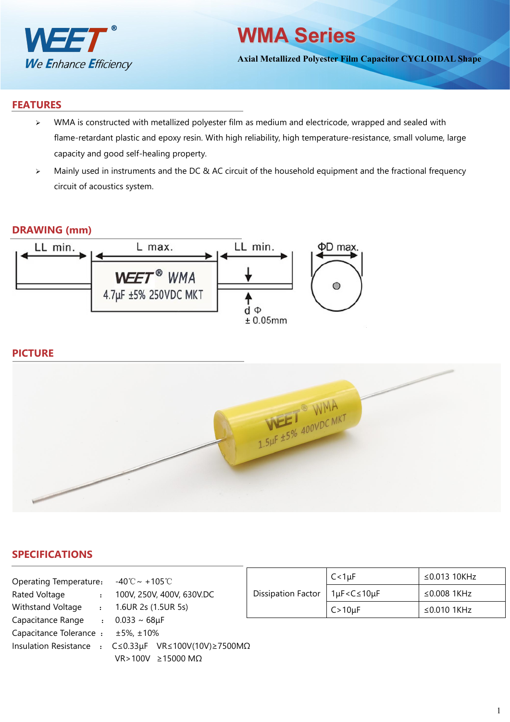

# **WMA Series**

**Axial Metallized Polyester Film Capacitor CYCLOIDAL Shape**

### **FEATURES**

- $\triangleright$  WMA is constructed with metallized polyester film as medium and electricode, wrapped and sealed with flame-retardant plastic and epoxy resin. With high reliability, high temperature-resistance, small volume, large capacity and good self-healing property.
- > Mainly used in instruments and the DC & AC circuit of the household equipment and the fractional frequency circuit of acoustics system.

#### **DRAWING (mm)**



### **PICTURE**



## **SPECIFICATIONS**

| Operating Temperature: $-40^{\circ}\text{C} \sim +105^{\circ}\text{C}$         |                     |                               |                           | $C < 1 \mu F$                    |
|--------------------------------------------------------------------------------|---------------------|-------------------------------|---------------------------|----------------------------------|
| Rated Voltage<br>$\mathbf{r}$                                                  |                     | 100V, 250V, 400V, 630V.DC     | <b>Dissipation Factor</b> | $1\mu$ F <c <math="">\leq 10</c> |
| Withstand Voltage<br>$\mathbf{r}$                                              | 1.6UR 2s (1.5UR 5s) |                               |                           | $C > 10 \mu F$                   |
| Capacitance Range : $0.033 \sim 68 \mu F$                                      |                     |                               |                           |                                  |
| Capacitance Tolerance : $\pm$ 5%, $\pm$ 10%                                    |                     |                               |                           |                                  |
| Insulation Resistance : $C \le 0.33 \mu$ F VR $\le 100V(10V) \ge 7500 M\Omega$ |                     |                               |                           |                                  |
|                                                                                |                     | $VR > 100V \ge 15000 M\Omega$ |                           |                                  |

| <b>Dissipation Factor</b> | $C < 1 \mu F$                                                 | ≤0.013 10KHz |  |  |
|---------------------------|---------------------------------------------------------------|--------------|--|--|
|                           | 1µF <c≤10µf< td=""><td colspan="3">≤0.008 1KHz</td></c≤10µf<> | ≤0.008 1KHz  |  |  |
|                           | $C>10\mu F$                                                   | ≤0.010 1KHz  |  |  |